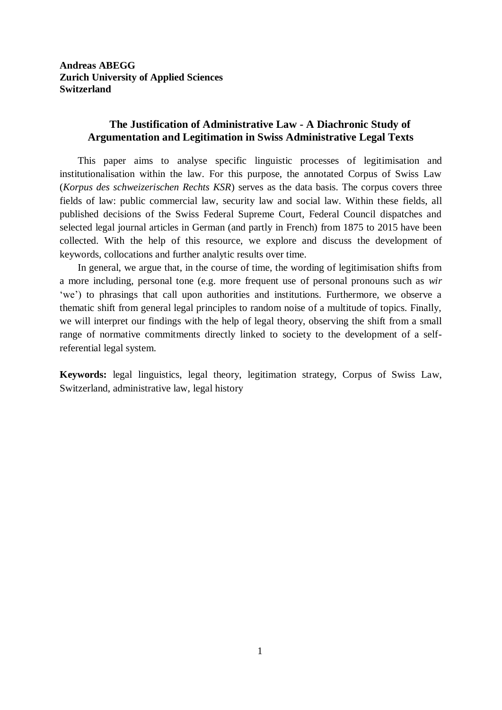### **Andreas ABEGG Zurich University of Applied Sciences Switzerland**

### **The Justification of Administrative Law - A Diachronic Study of Argumentation and Legitimation in Swiss Administrative Legal Texts**

This paper aims to analyse specific linguistic processes of legitimisation and institutionalisation within the law. For this purpose, the annotated Corpus of Swiss Law (*Korpus des schweizerischen Rechts KSR*) serves as the data basis. The corpus covers three fields of law: public commercial law, security law and social law. Within these fields, all published decisions of the Swiss Federal Supreme Court, Federal Council dispatches and selected legal journal articles in German (and partly in French) from 1875 to 2015 have been collected. With the help of this resource, we explore and discuss the development of keywords, collocations and further analytic results over time.

In general, we argue that, in the course of time, the wording of legitimisation shifts from a more including, personal tone (e.g. more frequent use of personal pronouns such as *wir* 'we') to phrasings that call upon authorities and institutions. Furthermore, we observe a thematic shift from general legal principles to random noise of a multitude of topics. Finally, we will interpret our findings with the help of legal theory, observing the shift from a small range of normative commitments directly linked to society to the development of a selfreferential legal system.

**Keywords:** legal linguistics, legal theory, legitimation strategy, Corpus of Swiss Law, Switzerland, administrative law, legal history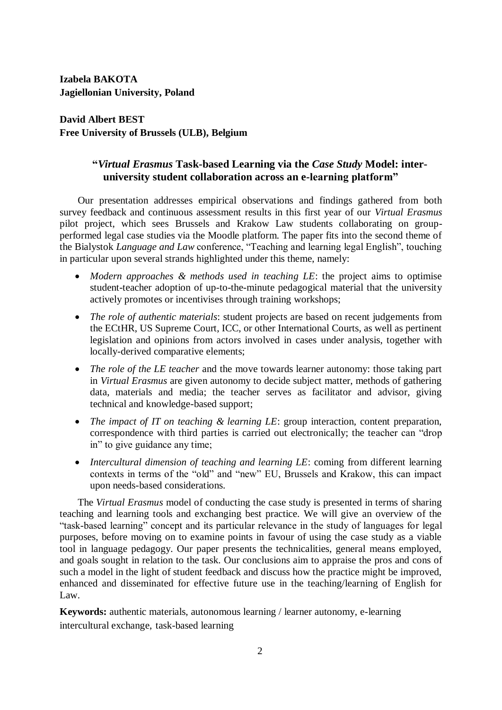**Izabela BAKOTA Jagiellonian University, Poland**

**David Albert BEST Free University of Brussels (ULB), Belgium**

### **"***Virtual Erasmus* **Task-based Learning via the** *Case Study* **Model: interuniversity student collaboration across an e-learning platform"**

Our presentation addresses empirical observations and findings gathered from both survey feedback and continuous assessment results in this first year of our *Virtual Erasmus* pilot project, which sees Brussels and Krakow Law students collaborating on groupperformed legal case studies via the Moodle platform. The paper fits into the second theme of the Bialystok *Language and Law* conference, "Teaching and learning legal English", touching in particular upon several strands highlighted under this theme, namely:

- *Modern approaches & methods used in teaching LE*: the project aims to optimise student-teacher adoption of up-to-the-minute pedagogical material that the university actively promotes or incentivises through training workshops;
- *The role of authentic materials*: student projects are based on recent judgements from the ECtHR, US Supreme Court, ICC, or other International Courts, as well as pertinent legislation and opinions from actors involved in cases under analysis, together with locally-derived comparative elements;
- *The role of the LE teacher* and the move towards learner autonomy: those taking part in *Virtual Erasmus* are given autonomy to decide subject matter, methods of gathering data, materials and media; the teacher serves as facilitator and advisor, giving technical and knowledge-based support;
- *The impact of IT on teaching & learning LE*: group interaction, content preparation, correspondence with third parties is carried out electronically; the teacher can "drop in" to give guidance any time;
- *Intercultural dimension of teaching and learning LE*: coming from different learning contexts in terms of the "old" and "new" EU, Brussels and Krakow, this can impact upon needs-based considerations.

The *Virtual Erasmus* model of conducting the case study is presented in terms of sharing teaching and learning tools and exchanging best practice. We will give an overview of the "task-based learning" concept and its particular relevance in the study of languages for legal purposes, before moving on to examine points in favour of using the case study as a viable tool in language pedagogy. Our paper presents the technicalities, general means employed, and goals sought in relation to the task. Our conclusions aim to appraise the pros and cons of such a model in the light of student feedback and discuss how the practice might be improved, enhanced and disseminated for effective future use in the teaching/learning of English for Law.

**Keywords:** authentic materials, autonomous learning / learner autonomy, e-learning intercultural exchange, task-based learning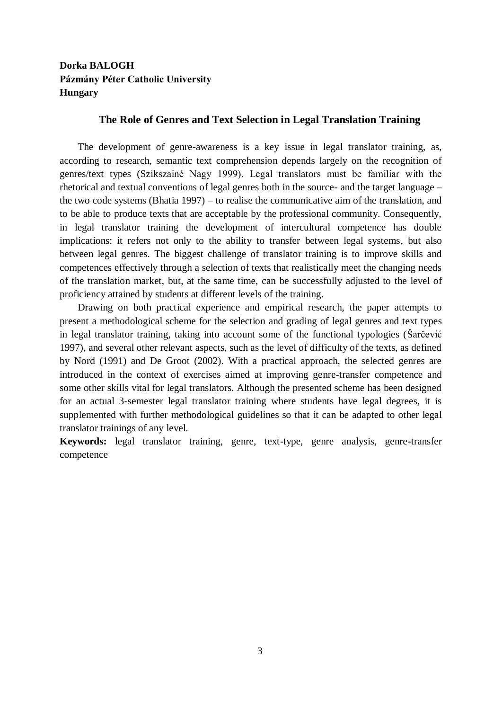## **Dorka BALOGH Pázmány Péter Catholic University Hungary**

#### **The Role of Genres and Text Selection in Legal Translation Training**

The development of genre-awareness is a key issue in legal translator training, as, according to research, semantic text comprehension depends largely on the recognition of genres/text types (Szikszainé Nagy 1999). Legal translators must be familiar with the rhetorical and textual conventions of legal genres both in the source- and the target language – the two code systems (Bhatia 1997) – to realise the communicative aim of the translation, and to be able to produce texts that are acceptable by the professional community. Consequently, in legal translator training the development of intercultural competence has double implications: it refers not only to the ability to transfer between legal systems, but also between legal genres. The biggest challenge of translator training is to improve skills and competences effectively through a selection of texts that realistically meet the changing needs of the translation market, but, at the same time, can be successfully adjusted to the level of proficiency attained by students at different levels of the training.

Drawing on both practical experience and empirical research, the paper attempts to present a methodological scheme for the selection and grading of legal genres and text types in legal translator training, taking into account some of the functional typologies (Šarčević 1997), and several other relevant aspects, such as the level of difficulty of the texts, as defined by Nord (1991) and De Groot (2002). With a practical approach, the selected genres are introduced in the context of exercises aimed at improving genre-transfer competence and some other skills vital for legal translators. Although the presented scheme has been designed for an actual 3-semester legal translator training where students have legal degrees, it is supplemented with further methodological guidelines so that it can be adapted to other legal translator trainings of any level.

**Keywords:** legal translator training, genre, text-type, genre analysis, genre-transfer competence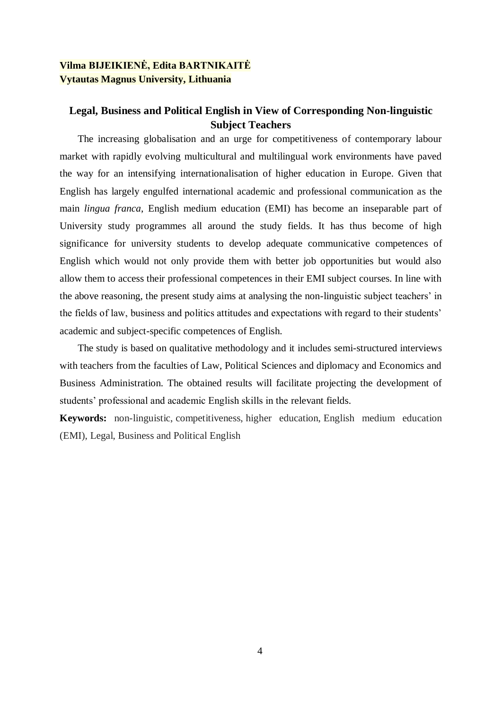### **Vilma BIJEIKIENĖ, Edita BARTNIKAITĖ Vytautas Magnus University, Lithuania**

### **Legal, Business and Political English in View of Corresponding Non-linguistic Subject Teachers**

The increasing globalisation and an urge for competitiveness of contemporary labour market with rapidly evolving multicultural and multilingual work environments have paved the way for an intensifying internationalisation of higher education in Europe. Given that English has largely engulfed international academic and professional communication as the main *lingua franca*, English medium education (EMI) has become an inseparable part of University study programmes all around the study fields. It has thus become of high significance for university students to develop adequate communicative competences of English which would not only provide them with better job opportunities but would also allow them to access their professional competences in their EMI subject courses. In line with the above reasoning, the present study aims at analysing the non-linguistic subject teachers' in the fields of law, business and politics attitudes and expectations with regard to their students' academic and subject-specific competences of English.

The study is based on qualitative methodology and it includes semi-structured interviews with teachers from the faculties of Law, Political Sciences and diplomacy and Economics and Business Administration. The obtained results will facilitate projecting the development of students' professional and academic English skills in the relevant fields.

**Keywords:** non-linguistic, competitiveness, higher education, English medium education (EMI), Legal, Business and Political English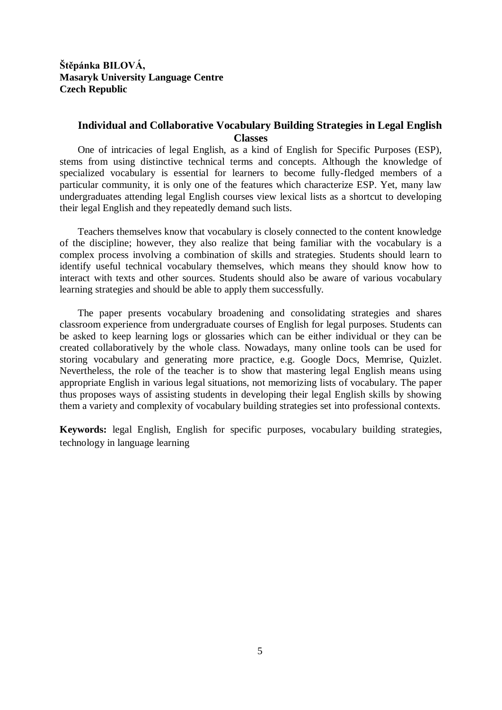### **Štěpánka BILOVÁ, Masaryk University Language Centre Czech Republic**

### **Individual and Collaborative Vocabulary Building Strategies in Legal English Classes**

One of intricacies of legal English, as a kind of English for Specific Purposes (ESP), stems from using distinctive technical terms and concepts. Although the knowledge of specialized vocabulary is essential for learners to become fully-fledged members of a particular community, it is only one of the features which characterize ESP. Yet, many law undergraduates attending legal English courses view lexical lists as a shortcut to developing their legal English and they repeatedly demand such lists.

Teachers themselves know that vocabulary is closely connected to the content knowledge of the discipline; however, they also realize that being familiar with the vocabulary is a complex process involving a combination of skills and strategies. Students should learn to identify useful technical vocabulary themselves, which means they should know how to interact with texts and other sources. Students should also be aware of various vocabulary learning strategies and should be able to apply them successfully.

The paper presents vocabulary broadening and consolidating strategies and shares classroom experience from undergraduate courses of English for legal purposes. Students can be asked to keep learning logs or glossaries which can be either individual or they can be created collaboratively by the whole class. Nowadays, many online tools can be used for storing vocabulary and generating more practice, e.g. Google Docs, Memrise, Quizlet. Nevertheless, the role of the teacher is to show that mastering legal English means using appropriate English in various legal situations, not memorizing lists of vocabulary. The paper thus proposes ways of assisting students in developing their legal English skills by showing them a variety and complexity of vocabulary building strategies set into professional contexts.

**Keywords:** legal English, English for specific purposes, vocabulary building strategies, technology in language learning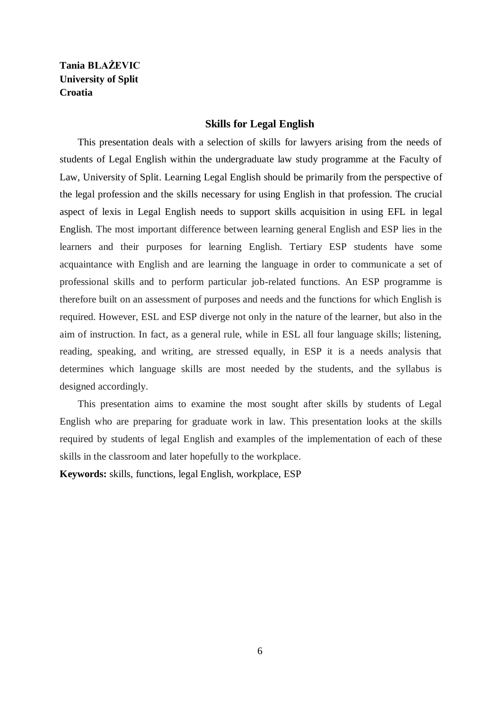# **Tania BLAŻEVIC University of Split Croatia**

#### **Skills for Legal English**

This presentation deals with a selection of skills for lawyers arising from the needs of students of Legal English within the undergraduate law study programme at the Faculty of Law, University of Split. Learning Legal English should be primarily from the perspective of the legal profession and the skills necessary for using English in that profession. The crucial aspect of lexis in Legal English needs to support skills acquisition in using EFL in legal English. The most important difference between learning general English and ESP lies in the learners and their purposes for learning English. Tertiary ESP students have some acquaintance with English and are learning the language in order to communicate a set of professional skills and to perform particular job-related functions. An ESP programme is therefore built on an assessment of purposes and needs and the functions for which English is required. However, ESL and ESP diverge not only in the nature of the learner, but also in the aim of instruction. In fact, as a general rule, while in ESL all four language skills; listening, reading, speaking, and writing, are stressed equally, in ESP it is a needs analysis that determines which language skills are most needed by the students, and the syllabus is designed accordingly.

This presentation aims to examine the most sought after skills by students of Legal English who are preparing for graduate work in law. This presentation looks at the skills required by students of legal English and examples of the implementation of each of these skills in the classroom and later hopefully to the workplace.

**Keywords:** skills, functions, legal English, workplace, ESP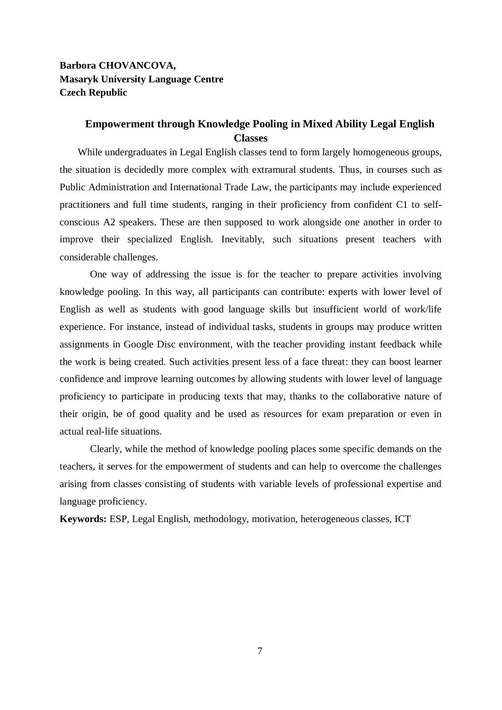### **Barbora CHOVANCOVA, Masaryk University Language Centre Czech Republic**

### **Empowerment through Knowledge Pooling in Mixed Ability Legal English Classes**

While undergraduates in Legal English classes tend to form largely homogeneous groups, the situation is decidedly more complex with extramural students. Thus, in courses such as Public Administration and International Trade Law, the participants may include experienced practitioners and full time students, ranging in their proficiency from confident C1 to selfconscious A2 speakers. These are then supposed to work alongside one another in order to improve their specialized English. Inevitably, such situations present teachers with considerable challenges.

One way of addressing the issue is for the teacher to prepare activities involving knowledge pooling. In this way, all participants can contribute: experts with lower level of English as well as students with good language skills but insufficient world of work/life experience. For instance, instead of individual tasks, students in groups may produce written assignments in Google Disc environment, with the teacher providing instant feedback while the work is being created. Such activities present less of a face threat: they can boost learner confidence and improve learning outcomes by allowing students with lower level of language proficiency to participate in producing texts that may, thanks to the collaborative nature of their origin, be of good quality and be used as resources for exam preparation or even in actual real-life situations.

Clearly, while the method of knowledge pooling places some specific demands on the teachers, it serves for the empowerment of students and can help to overcome the challenges arising from classes consisting of students with variable levels of professional expertise and language proficiency.

**Keywords:** ESP, Legal English, methodology, motivation, heterogeneous classes, ICT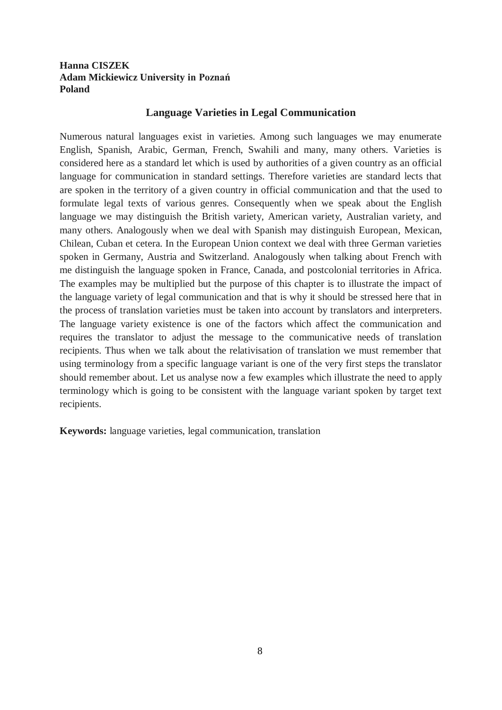### **Hanna CISZEK Adam Mickiewicz University in Poznań Poland**

### **Language Varieties in Legal Communication**

Numerous natural languages exist in varieties. Among such languages we may enumerate English, Spanish, Arabic, German, French, Swahili and many, many others. Varieties is considered here as a standard let which is used by authorities of a given country as an official language for communication in standard settings. Therefore varieties are standard lects that are spoken in the territory of a given country in official communication and that the used to formulate legal texts of various genres. Consequently when we speak about the English language we may distinguish the British variety, American variety, Australian variety, and many others. Analogously when we deal with Spanish may distinguish European, Mexican, Chilean, Cuban et cetera. In the European Union context we deal with three German varieties spoken in Germany, Austria and Switzerland. Analogously when talking about French with me distinguish the language spoken in France, Canada, and postcolonial territories in Africa. The examples may be multiplied but the purpose of this chapter is to illustrate the impact of the language variety of legal communication and that is why it should be stressed here that in the process of translation varieties must be taken into account by translators and interpreters. The language variety existence is one of the factors which affect the communication and requires the translator to adjust the message to the communicative needs of translation recipients. Thus when we talk about the relativisation of translation we must remember that using terminology from a specific language variant is one of the very first steps the translator should remember about. Let us analyse now a few examples which illustrate the need to apply terminology which is going to be consistent with the language variant spoken by target text recipients.

**Keywords:** language varieties, legal communication, translation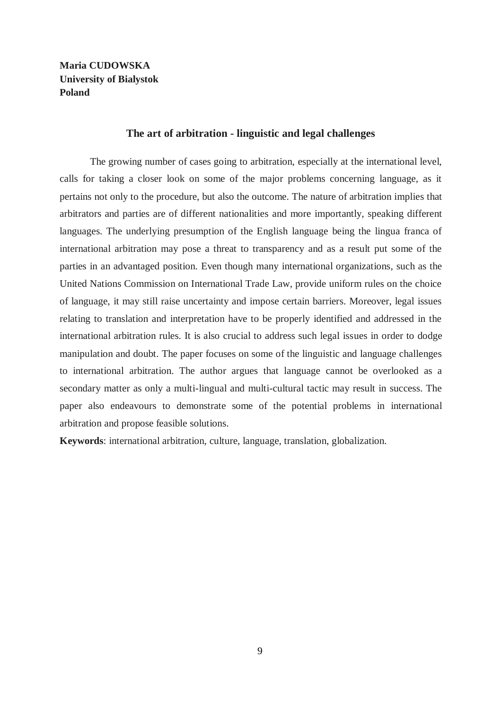**Maria CUDOWSKA University of Bialystok Poland**

#### **The art of arbitration - linguistic and legal challenges**

The growing number of cases going to arbitration, especially at the international level, calls for taking a closer look on some of the major problems concerning language, as it pertains not only to the procedure, but also the outcome. The nature of arbitration implies that arbitrators and parties are of different nationalities and more importantly, speaking different languages. The underlying presumption of the English language being the lingua franca of international arbitration may pose a threat to transparency and as a result put some of the parties in an advantaged position. Even though many international organizations, such as the United Nations Commission on International Trade Law, provide uniform rules on the choice of language, it may still raise uncertainty and impose certain barriers. Moreover, legal issues relating to translation and interpretation have to be properly identified and addressed in the international arbitration rules. It is also crucial to address such legal issues in order to dodge manipulation and doubt. The paper focuses on some of the linguistic and language challenges to international arbitration. The author argues that language cannot be overlooked as a secondary matter as only a multi-lingual and multi-cultural tactic may result in success. The paper also endeavours to demonstrate some of the potential problems in international arbitration and propose feasible solutions.

**Keywords**: international arbitration, culture, language, translation, globalization.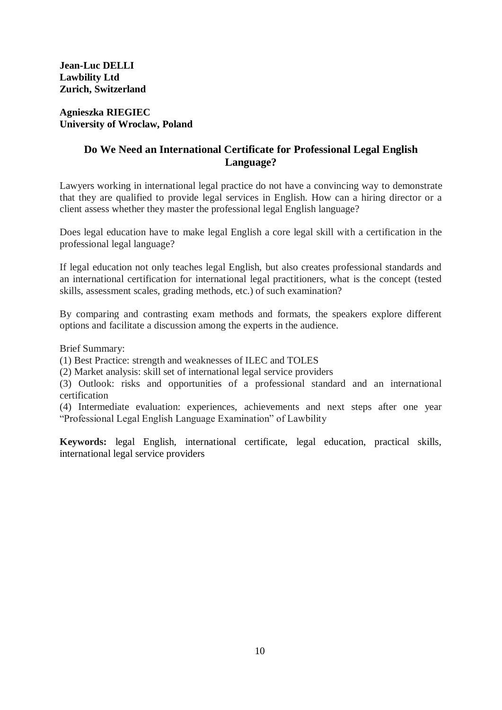#### **Agnieszka RIEGIEC University of Wroclaw, Poland**

# **Do We Need an International Certificate for Professional Legal English Language?**

Lawyers working in international legal practice do not have a convincing way to demonstrate that they are qualified to provide legal services in English. How can a hiring director or a client assess whether they master the professional legal English language?

Does legal education have to make legal English a core legal skill with a certification in the professional legal language?

If legal education not only teaches legal English, but also creates professional standards and an international certification for international legal practitioners, what is the concept (tested skills, assessment scales, grading methods, etc.) of such examination?

By comparing and contrasting exam methods and formats, the speakers explore different options and facilitate a discussion among the experts in the audience.

Brief Summary:

(1) Best Practice: strength and weaknesses of ILEC and TOLES

(2) Market analysis: skill set of international legal service providers

(3) Outlook: risks and opportunities of a professional standard and an international certification

(4) Intermediate evaluation: experiences, achievements and next steps after one year "Professional Legal English Language Examination" of Lawbility

**Keywords:** legal English, international certificate, legal education, practical skills, international legal service providers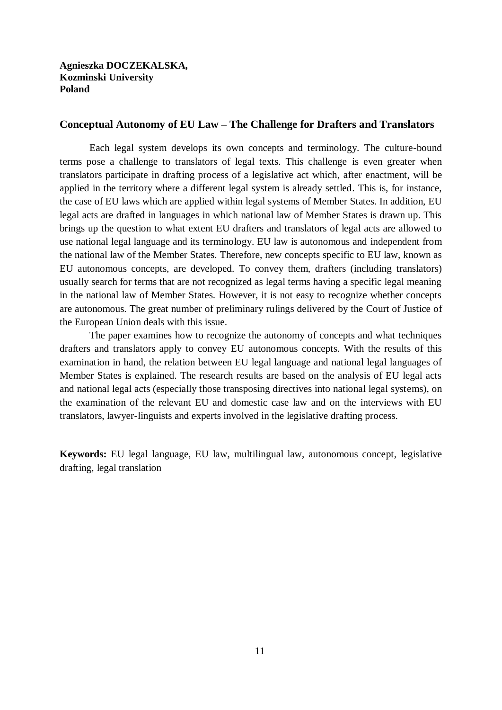#### **Conceptual Autonomy of EU Law – The Challenge for Drafters and Translators**

Each legal system develops its own concepts and terminology. The culture-bound terms pose a challenge to translators of legal texts. This challenge is even greater when translators participate in drafting process of a legislative act which, after enactment, will be applied in the territory where a different legal system is already settled. This is, for instance, the case of EU laws which are applied within legal systems of Member States. In addition, EU legal acts are drafted in languages in which national law of Member States is drawn up. This brings up the question to what extent EU drafters and translators of legal acts are allowed to use national legal language and its terminology. EU law is autonomous and independent from the national law of the Member States. Therefore, new concepts specific to EU law, known as EU autonomous concepts, are developed. To convey them, drafters (including translators) usually search for terms that are not recognized as legal terms having a specific legal meaning in the national law of Member States. However, it is not easy to recognize whether concepts are autonomous. The great number of preliminary rulings delivered by the Court of Justice of the European Union deals with this issue.

The paper examines how to recognize the autonomy of concepts and what techniques drafters and translators apply to convey EU autonomous concepts. With the results of this examination in hand, the relation between EU legal language and national legal languages of Member States is explained. The research results are based on the analysis of EU legal acts and national legal acts (especially those transposing directives into national legal systems), on the examination of the relevant EU and domestic case law and on the interviews with EU translators, lawyer-linguists and experts involved in the legislative drafting process.

**Keywords:** EU legal language, EU law, multilingual law, autonomous concept, legislative drafting, legal translation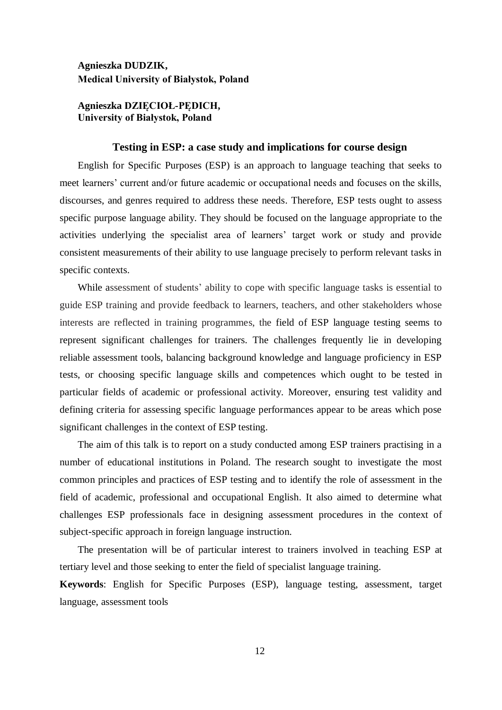#### **Agnieszka DUDZIK, Medical University of Białystok, Poland**

#### **Agnieszka DZIĘCIOŁ-PĘDICH, University of Białystok, Poland**

#### **Testing in ESP: a case study and implications for course design**

English for Specific Purposes (ESP) is an approach to language teaching that seeks to meet learners' current and/or future academic or occupational needs and focuses on the skills, discourses, and genres required to address these needs. Therefore, ESP tests ought to assess specific purpose language ability. They should be focused on the language appropriate to the activities underlying the specialist area of learners' target work or study and provide consistent measurements of their ability to use language precisely to perform relevant tasks in specific contexts.

While assessment of students' ability to cope with specific language tasks is essential to guide ESP training and provide feedback to learners, teachers, and other stakeholders whose interests are reflected in training programmes, the field of ESP language testing seems to represent significant challenges for trainers. The challenges frequently lie in developing reliable assessment tools, balancing background knowledge and language proficiency in ESP tests, or choosing specific language skills and competences which ought to be tested in particular fields of academic or professional activity. Moreover, ensuring test validity and defining criteria for assessing specific language performances appear to be areas which pose significant challenges in the context of ESP testing.

The aim of this talk is to report on a study conducted among ESP trainers practising in a number of educational institutions in Poland. The research sought to investigate the most common principles and practices of ESP testing and to identify the role of assessment in the field of academic, professional and occupational English. It also aimed to determine what challenges ESP professionals face in designing assessment procedures in the context of subject-specific approach in foreign language instruction.

The presentation will be of particular interest to trainers involved in teaching ESP at tertiary level and those seeking to enter the field of specialist language training.

**Keywords**: English for Specific Purposes (ESP), language testing, assessment, target language, assessment tools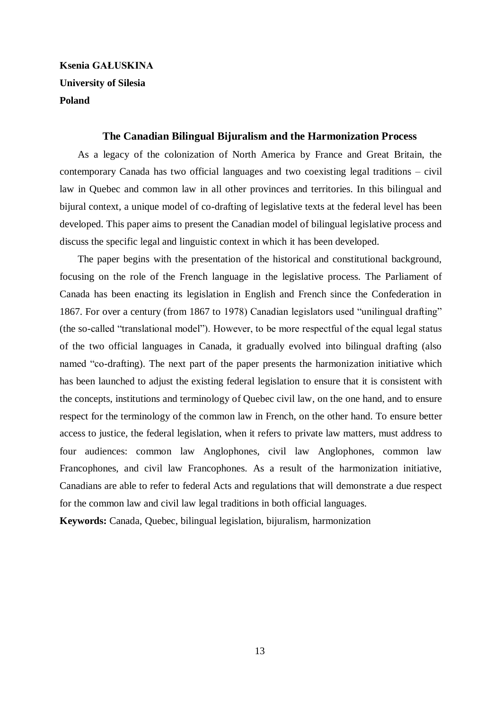# **Ksenia GAŁUSKINA University of Silesia Poland**

#### **The Canadian Bilingual Bijuralism and the Harmonization Process**

As a legacy of the colonization of North America by France and Great Britain, the contemporary Canada has two official languages and two coexisting legal traditions – civil law in Quebec and common law in all other provinces and territories. In this bilingual and bijural context, a unique model of co-drafting of legislative texts at the federal level has been developed. This paper aims to present the Canadian model of bilingual legislative process and discuss the specific legal and linguistic context in which it has been developed.

The paper begins with the presentation of the historical and constitutional background, focusing on the role of the French language in the legislative process. The Parliament of Canada has been enacting its legislation in English and French since the Confederation in 1867. For over a century (from 1867 to 1978) Canadian legislators used "unilingual drafting" (the so-called "translational model"). However, to be more respectful of the equal legal status of the two official languages in Canada, it gradually evolved into bilingual drafting (also named "co-drafting). The next part of the paper presents the harmonization initiative which has been launched to adjust the existing federal legislation to ensure that it is consistent with the concepts, institutions and terminology of Quebec civil law, on the one hand, and to ensure respect for the terminology of the common law in French, on the other hand. To ensure better access to justice, the federal legislation, when it refers to private law matters, must address to four audiences: common law Anglophones, civil law Anglophones, common law Francophones, and civil law Francophones. As a result of the harmonization initiative, Canadians are able to refer to federal Acts and regulations that will demonstrate a due respect for the common law and civil law legal traditions in both official languages.

**Keywords:** Canada, Quebec, bilingual legislation, bijuralism, harmonization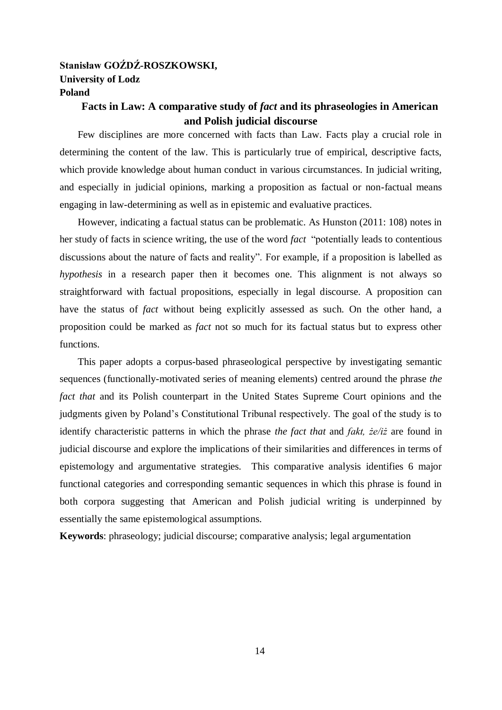### **Stanisław GOŹDŹ-ROSZKOWSKI, University of Lodz Poland**

# **Facts in Law: A comparative study of** *fact* **and its phraseologies in American and Polish judicial discourse**

Few disciplines are more concerned with facts than Law. Facts play a crucial role in determining the content of the law. This is particularly true of empirical, descriptive facts, which provide knowledge about human conduct in various circumstances. In judicial writing, and especially in judicial opinions, marking a proposition as factual or non-factual means engaging in law-determining as well as in epistemic and evaluative practices.

However, indicating a factual status can be problematic. As Hunston (2011: 108) notes in her study of facts in science writing, the use of the word *fact* "potentially leads to contentious discussions about the nature of facts and reality". For example, if a proposition is labelled as *hypothesis* in a research paper then it becomes one. This alignment is not always so straightforward with factual propositions, especially in legal discourse. A proposition can have the status of *fact* without being explicitly assessed as such. On the other hand, a proposition could be marked as *fact* not so much for its factual status but to express other functions.

This paper adopts a corpus-based phraseological perspective by investigating semantic sequences (functionally-motivated series of meaning elements) centred around the phrase *the fact that* and its Polish counterpart in the United States Supreme Court opinions and the judgments given by Poland's Constitutional Tribunal respectively. The goal of the study is to identify characteristic patterns in which the phrase *the fact that* and *fakt, że/iż* are found in judicial discourse and explore the implications of their similarities and differences in terms of epistemology and argumentative strategies. This comparative analysis identifies 6 major functional categories and corresponding semantic sequences in which this phrase is found in both corpora suggesting that American and Polish judicial writing is underpinned by essentially the same epistemological assumptions.

**Keywords**: phraseology; judicial discourse; comparative analysis; legal argumentation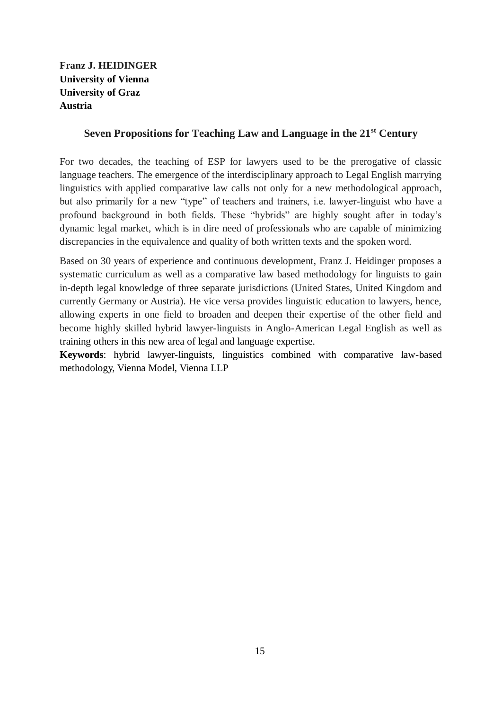# **Franz J. HEIDINGER University of Vienna University of Graz Austria**

### **Seven Propositions for Teaching Law and Language in the 21st Century**

For two decades, the teaching of ESP for lawyers used to be the prerogative of classic language teachers. The emergence of the interdisciplinary approach to Legal English marrying linguistics with applied comparative law calls not only for a new methodological approach, but also primarily for a new "type" of teachers and trainers, i.e. lawyer-linguist who have a profound background in both fields. These "hybrids" are highly sought after in today's dynamic legal market, which is in dire need of professionals who are capable of minimizing discrepancies in the equivalence and quality of both written texts and the spoken word.

Based on 30 years of experience and continuous development, Franz J. Heidinger proposes a systematic curriculum as well as a comparative law based methodology for linguists to gain in-depth legal knowledge of three separate jurisdictions (United States, United Kingdom and currently Germany or Austria). He vice versa provides linguistic education to lawyers, hence, allowing experts in one field to broaden and deepen their expertise of the other field and become highly skilled hybrid lawyer-linguists in Anglo-American Legal English as well as training others in this new area of legal and language expertise.

**Keywords**: hybrid lawyer-linguists, linguistics combined with comparative law-based methodology, Vienna Model, Vienna LLP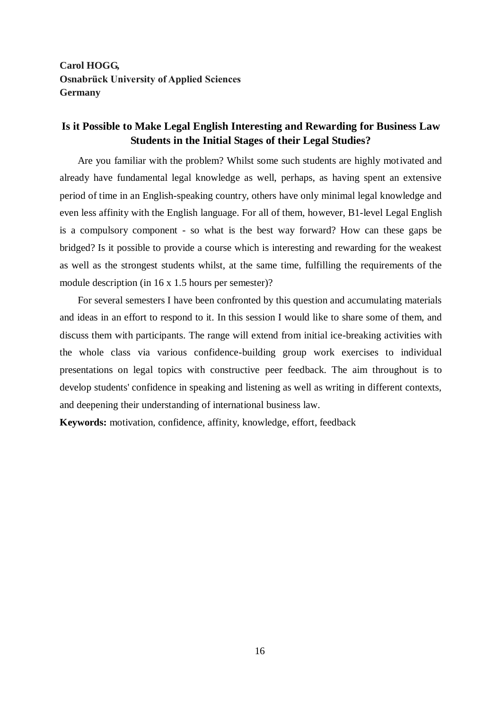**Carol HOGG, Osnabrück University of Applied Sciences Germany**

### **Is it Possible to Make Legal English Interesting and Rewarding for Business Law Students in the Initial Stages of their Legal Studies?**

Are you familiar with the problem? Whilst some such students are highly motivated and already have fundamental legal knowledge as well, perhaps, as having spent an extensive period of time in an English-speaking country, others have only minimal legal knowledge and even less affinity with the English language. For all of them, however, B1-level Legal English is a compulsory component - so what is the best way forward? How can these gaps be bridged? Is it possible to provide a course which is interesting and rewarding for the weakest as well as the strongest students whilst, at the same time, fulfilling the requirements of the module description (in 16 x 1.5 hours per semester)?

For several semesters I have been confronted by this question and accumulating materials and ideas in an effort to respond to it. In this session I would like to share some of them, and discuss them with participants. The range will extend from initial ice-breaking activities with the whole class via various confidence-building group work exercises to individual presentations on legal topics with constructive peer feedback. The aim throughout is to develop students' confidence in speaking and listening as well as writing in different contexts, and deepening their understanding of international business law.

**Keywords:** motivation, confidence, affinity, knowledge, effort, feedback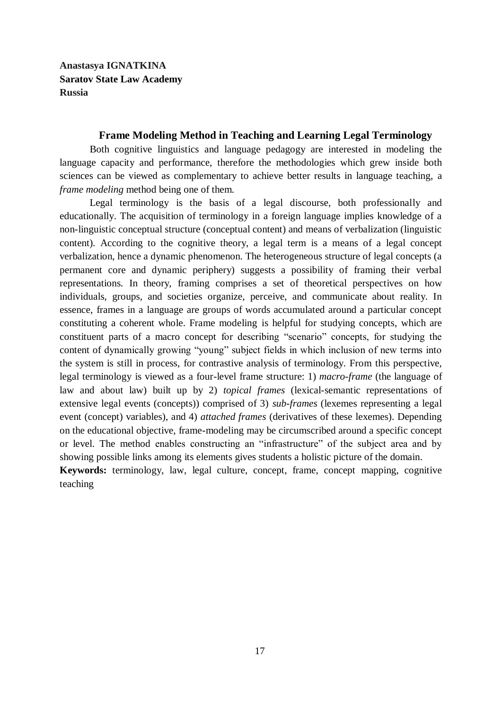**Anastasya IGNATKINA Saratov State Law Academy Russia**

#### **Frame Modeling Method in Teaching and Learning Legal Terminology**

Both cognitive linguistics and language pedagogy are interested in modeling the language capacity and performance, therefore the methodologies which grew inside both sciences can be viewed as complementary to achieve better results in language teaching, a *frame modeling* method being one of them.

Legal terminology is the basis of a legal discourse, both professionally and educationally. The acquisition of terminology in a foreign language implies knowledge of a non-linguistic conceptual structure (conceptual content) and means of verbalization (linguistic content). According to the cognitive theory, a legal term is a means of a legal concept verbalization, hence a dynamic phenomenon. The heterogeneous structure of legal concepts (a permanent core and dynamic periphery) suggests a possibility of framing their verbal representations*.* In theory, framing comprises a set of theoretical perspectives on how individuals, groups, and societies organize, perceive, and communicate about reality. In essence, frames in a language are groups of words accumulated around a particular concept constituting a coherent whole. Frame modeling is helpful for studying concepts, which are constituent parts of a macro concept for describing "scenario" concepts, for studying the content of dynamically growing "young" subject fields in which inclusion of new terms into the system is still in process, for contrastive analysis of terminology. From this perspective, legal terminology is viewed as a four-level frame structure: 1) *macro-frame* (the language of law and about law) built up by 2) *topical frames* (lexical-semantic representations of extensive legal events (concepts)) comprised of 3) *sub-frames* (lexemes representing a legal event (concept) variables), and 4) *attached frames* (derivatives of these lexemes). Depending on the educational objective, frame-modeling may be circumscribed around a specific concept or level. The method enables constructing an "infrastructure" of the subject area and by showing possible links among its elements gives students a holistic picture of the domain. **Keywords:** terminology, law, legal culture, concept, frame, concept mapping, cognitive teaching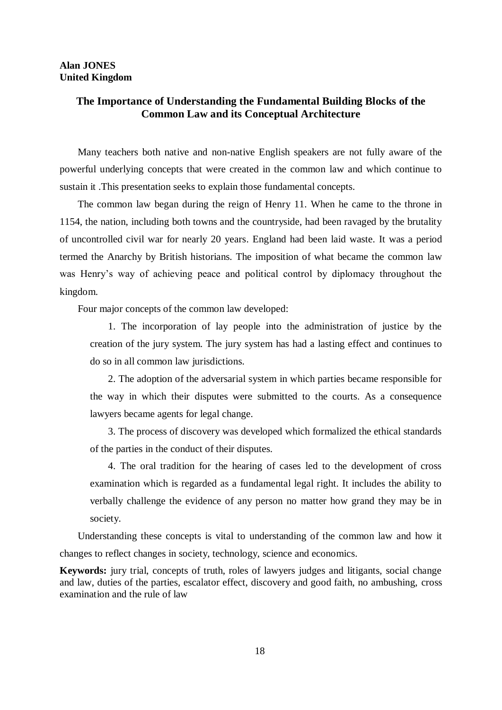#### **Alan JONES United Kingdom**

### **The Importance of Understanding the Fundamental Building Blocks of the Common Law and its Conceptual Architecture**

Many teachers both native and non-native English speakers are not fully aware of the powerful underlying concepts that were created in the common law and which continue to sustain it .This presentation seeks to explain those fundamental concepts.

The common law began during the reign of Henry 11. When he came to the throne in 1154, the nation, including both towns and the countryside, had been ravaged by the brutality of uncontrolled civil war for nearly 20 years. England had been laid waste. It was a period termed the Anarchy by British historians. The imposition of what became the common law was Henry's way of achieving peace and political control by diplomacy throughout the kingdom.

Four major concepts of the common law developed:

1. The incorporation of lay people into the administration of justice by the creation of the jury system. The jury system has had a lasting effect and continues to do so in all common law jurisdictions.

2. The adoption of the adversarial system in which parties became responsible for the way in which their disputes were submitted to the courts. As a consequence lawyers became agents for legal change.

3. The process of discovery was developed which formalized the ethical standards of the parties in the conduct of their disputes.

4. The oral tradition for the hearing of cases led to the development of cross examination which is regarded as a fundamental legal right. It includes the ability to verbally challenge the evidence of any person no matter how grand they may be in society.

Understanding these concepts is vital to understanding of the common law and how it changes to reflect changes in society, technology, science and economics.

**Keywords:** jury trial, concepts of truth, roles of lawyers judges and litigants, social change and law, duties of the parties, escalator effect, discovery and good faith, no ambushing, cross examination and the rule of law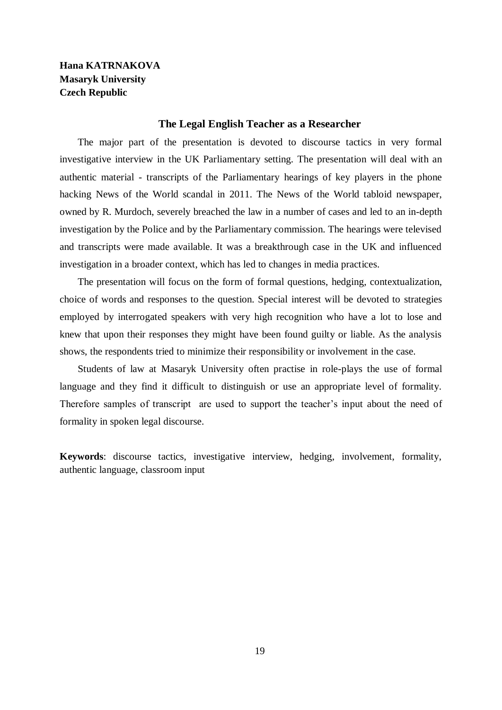## **Hana KATRNAKOVA Masaryk University Czech Republic**

#### **The Legal English Teacher as a Researcher**

The major part of the presentation is devoted to discourse tactics in very formal investigative interview in the UK Parliamentary setting. The presentation will deal with an authentic material - transcripts of the Parliamentary hearings of key players in the phone hacking News of the World scandal in 2011. The News of the World tabloid newspaper, owned by R. Murdoch, severely breached the law in a number of cases and led to an in-depth investigation by the Police and by the Parliamentary commission. The hearings were televised and transcripts were made available. It was a breakthrough case in the UK and influenced investigation in a broader context, which has led to changes in media practices.

The presentation will focus on the form of formal questions, hedging, contextualization, choice of words and responses to the question. Special interest will be devoted to strategies employed by interrogated speakers with very high recognition who have a lot to lose and knew that upon their responses they might have been found guilty or liable. As the analysis shows, the respondents tried to minimize their responsibility or involvement in the case.

Students of law at Masaryk University often practise in role-plays the use of formal language and they find it difficult to distinguish or use an appropriate level of formality. Therefore samples of transcript are used to support the teacher's input about the need of formality in spoken legal discourse.

**Keywords**: discourse tactics, investigative interview, hedging, involvement, formality, authentic language, classroom input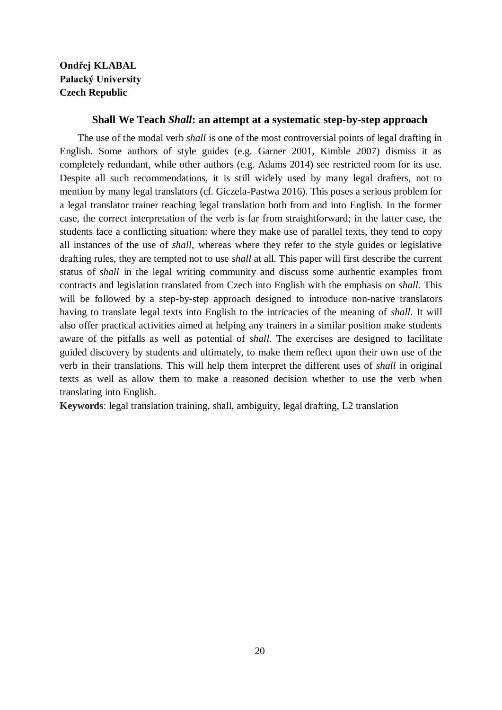# **Ondřej KLABAL Palacký University Czech Republic**

#### **Shall We Teach** *Shall***: an attempt at a systematic step-by-step approach**

The use of the modal verb *shall* is one of the most controversial points of legal drafting in English. Some authors of style guides (e.g. Garner 2001, Kimble 2007) dismiss it as completely redundant, while other authors (e.g. Adams 2014) see restricted room for its use. Despite all such recommendations, it is still widely used by many legal drafters, not to mention by many legal translators (cf. Giczela-Pastwa 2016). This poses a serious problem for a legal translator trainer teaching legal translation both from and into English. In the former case, the correct interpretation of the verb is far from straightforward; in the latter case, the students face a conflicting situation: where they make use of parallel texts, they tend to copy all instances of the use of *shall,* whereas where they refer to the style guides or legislative drafting rules, they are tempted not to use *shall* at all. This paper will first describe the current status of *shall* in the legal writing community and discuss some authentic examples from contracts and legislation translated from Czech into English with the emphasis on *shall*. This will be followed by a step-by-step approach designed to introduce non-native translators having to translate legal texts into English to the intricacies of the meaning of *shall*. It will also offer practical activities aimed at helping any trainers in a similar position make students aware of the pitfalls as well as potential of *shall*. The exercises are designed to facilitate guided discovery by students and ultimately, to make them reflect upon their own use of the verb in their translations. This will help them interpret the different uses of *shall* in original texts as well as allow them to make a reasoned decision whether to use the verb when translating into English.

**Keywords**: legal translation training, shall, ambiguity, legal drafting, L2 translation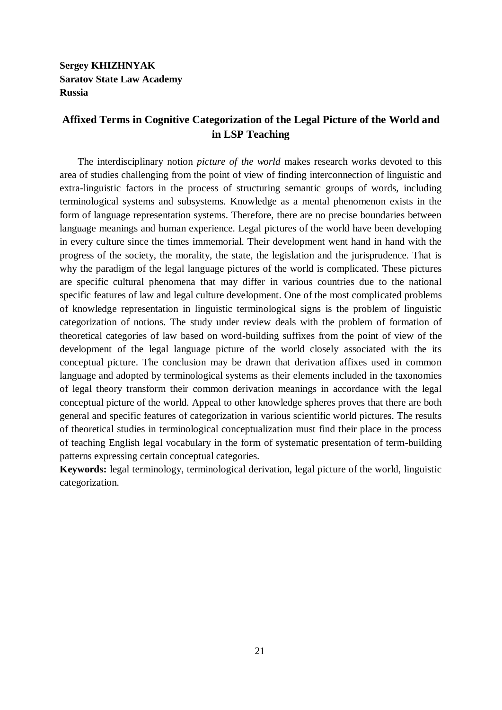**Sergey KHIZHNYAK Saratov State Law Academy Russia**

# **Affixed Terms in Cognitive Categorization of the Legal Picture of the World and in LSP Teaching**

The interdisciplinary notion *picture of the world* makes research works devoted to this area of studies challenging from the point of view of finding interconnection of linguistic and extra-linguistic factors in the process of structuring semantic groups of words, including terminological systems and subsystems. Knowledge as a mental phenomenon exists in the form of language representation systems. Therefore, there are no precise boundaries between language meanings and human experience. Legal pictures of the world have been developing in every culture since the times immemorial. Their development went hand in hand with the progress of the society, the morality, the state, the legislation and the jurisprudence. That is why the paradigm of the legal language pictures of the world is complicated. These pictures are specific cultural phenomena that may differ in various countries due to the national specific features of law and legal culture development. One of the most complicated problems of knowledge representation in linguistic terminological signs is the problem of linguistic categorization of notions. The study under review deals with the problem of formation of theoretical categories of law based on word-building suffixes from the point of view of the development of the legal language picture of the world closely associated with the its conceptual picture. The conclusion may be drawn that derivation affixes used in common language and adopted by terminological systems as their elements included in the taxonomies of legal theory transform their common derivation meanings in accordance with the legal conceptual picture of the world. Appeal to other knowledge spheres proves that there are both general and specific features of categorization in various scientific world pictures. The results of theoretical studies in terminological conceptualization must find their place in the process of teaching English legal vocabulary in the form of systematic presentation of term-building patterns expressing certain conceptual categories.

**Keywords:** legal terminology, terminological derivation, legal picture of the world, linguistic categorization.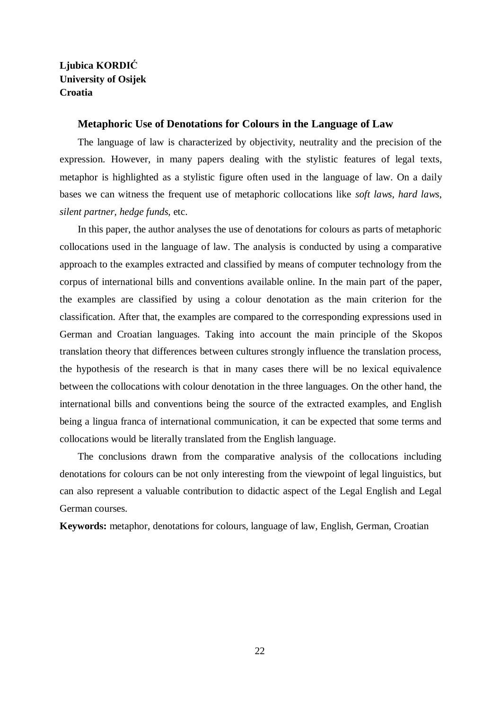# **Ljubica KORDIĆ University of Osijek Croatia**

#### **Metaphoric Use of Denotations for Colours in the Language of Law**

The language of law is characterized by objectivity, neutrality and the precision of the expression. However, in many papers dealing with the stylistic features of legal texts, metaphor is highlighted as a stylistic figure often used in the language of law. On a daily bases we can witness the frequent use of metaphoric collocations like *soft laws*, *hard laws*, *silent partner*, *hedge funds*, etc.

In this paper, the author analyses the use of denotations for colours as parts of metaphoric collocations used in the language of law. The analysis is conducted by using a comparative approach to the examples extracted and classified by means of computer technology from the corpus of international bills and conventions available online. In the main part of the paper, the examples are classified by using a colour denotation as the main criterion for the classification. After that, the examples are compared to the corresponding expressions used in German and Croatian languages. Taking into account the main principle of the Skopos translation theory that differences between cultures strongly influence the translation process, the hypothesis of the research is that in many cases there will be no lexical equivalence between the collocations with colour denotation in the three languages. On the other hand, the international bills and conventions being the source of the extracted examples, and English being a lingua franca of international communication, it can be expected that some terms and collocations would be literally translated from the English language.

The conclusions drawn from the comparative analysis of the collocations including denotations for colours can be not only interesting from the viewpoint of legal linguistics, but can also represent a valuable contribution to didactic aspect of the Legal English and Legal German courses.

**Keywords:** metaphor, denotations for colours, language of law, English, German, Croatian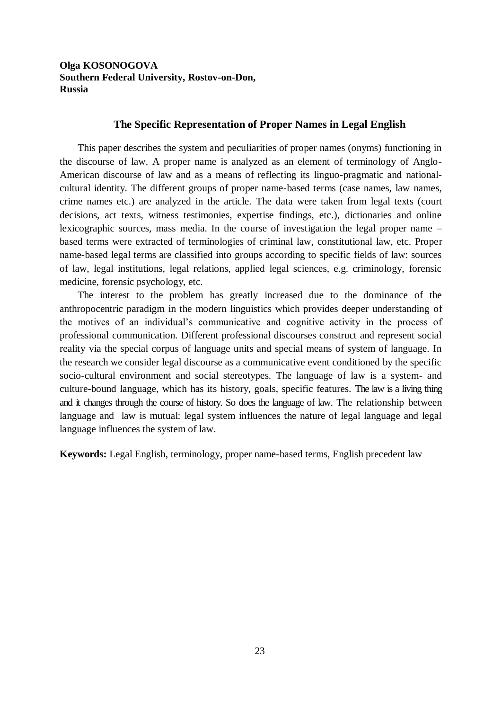### **Olga KOSONOGOVA Southern Federal University, Rostov-on-Don, Russia**

#### **The Specific Representation of Proper Names in Legal English**

This paper describes the system and peculiarities of proper names (onyms) functioning in the discourse of law. A proper name is analyzed as an element of terminology of Anglo-American discourse of law and as a means of reflecting its linguo-pragmatic and nationalcultural identity. The different groups of proper name-based terms (case names, law names, crime names etc.) are analyzed in the article. The data were taken from legal texts (court decisions, act texts, witness testimonies, expertise findings, etc.), dictionaries and online lexicographic sources, mass media. In the course of investigation the legal proper name – based terms were extracted of terminologies of criminal law, constitutional law, etc. Proper name-based legal terms are classified into groups according to specific fields of law: sources of law, legal institutions, legal relations, applied legal sciences, e.g. criminology, forensic medicine, forensic psychology, etc.

The interest to the problem has greatly increased due to the dominance of the anthropocentric paradigm in the modern linguistics which provides deeper understanding of the motives of an individual's communicative and cognitive activity in the process of professional communication. Different professional discourses construct and represent social reality via the special corpus of language units and special means of system of language. In the research we consider legal discourse as a communicative event conditioned by the specific socio-cultural environment and social stereotypes. The language of law is a system- and culture-bound language, which has its history, goals, specific features. The law is a living thing and it changes through the course of history. So does the language of law. The relationship between language and law is mutual: legal system influences the nature of legal language and legal language influences the system of law.

**Keywords:** Legal English, terminology, proper name-based terms, English precedent law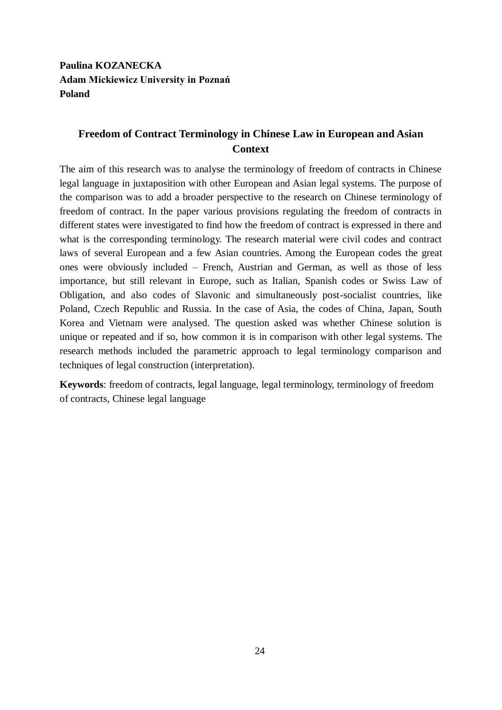**Paulina KOZANECKA Adam Mickiewicz University in Poznań Poland**

# **Freedom of Contract Terminology in Chinese Law in European and Asian Context**

The aim of this research was to analyse the terminology of freedom of contracts in Chinese legal language in juxtaposition with other European and Asian legal systems. The purpose of the comparison was to add a broader perspective to the research on Chinese terminology of freedom of contract. In the paper various provisions regulating the freedom of contracts in different states were investigated to find how the freedom of contract is expressed in there and what is the corresponding terminology. The research material were civil codes and contract laws of several European and a few Asian countries. Among the European codes the great ones were obviously included – French, Austrian and German, as well as those of less importance, but still relevant in Europe, such as Italian, Spanish codes or Swiss Law of Obligation, and also codes of Slavonic and simultaneously post-socialist countries, like Poland, Czech Republic and Russia. In the case of Asia, the codes of China, Japan, South Korea and Vietnam were analysed. The question asked was whether Chinese solution is unique or repeated and if so, how common it is in comparison with other legal systems. The research methods included the parametric approach to legal terminology comparison and techniques of legal construction (interpretation).

**Keywords**: freedom of contracts, legal language, legal terminology, terminology of freedom of contracts, Chinese legal language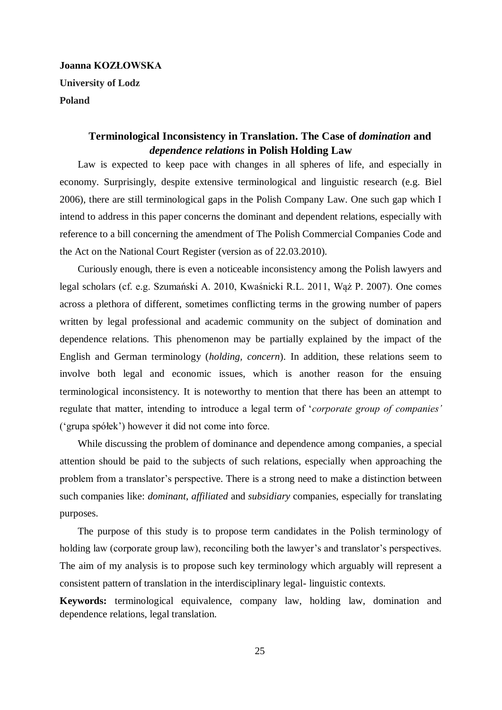# **Joanna KOZŁOWSKA University of Lodz Poland**

# **Terminological Inconsistency in Translation. The Case of** *domination* **and**  *dependence relations* **in Polish Holding Law**

Law is expected to keep pace with changes in all spheres of life, and especially in economy. Surprisingly, despite extensive terminological and linguistic research (e.g. Biel 2006), there are still terminological gaps in the Polish Company Law. One such gap which I intend to address in this paper concerns the dominant and dependent relations, especially with reference to a bill concerning the amendment of The Polish Commercial Companies Code and the Act on the National Court Register (version as of 22.03.2010).

Curiously enough, there is even a noticeable inconsistency among the Polish lawyers and legal scholars (cf. e.g. Szumański A. 2010, Kwaśnicki R.L. 2011, Wąż P. 2007). One comes across a plethora of different, sometimes conflicting terms in the growing number of papers written by legal professional and academic community on the subject of domination and dependence relations. This phenomenon may be partially explained by the impact of the English and German terminology (*holding, concern*). In addition, these relations seem to involve both legal and economic issues, which is another reason for the ensuing terminological inconsistency. It is noteworthy to mention that there has been an attempt to regulate that matter, intending to introduce a legal term of '*corporate group of companies'* ('grupa spółek') however it did not come into force.

While discussing the problem of dominance and dependence among companies, a special attention should be paid to the subjects of such relations, especially when approaching the problem from a translator's perspective. There is a strong need to make a distinction between such companies like: *dominant*, *affiliated* and *subsidiary* companies, especially for translating purposes.

The purpose of this study is to propose term candidates in the Polish terminology of holding law (corporate group law), reconciling both the lawyer's and translator's perspectives. The aim of my analysis is to propose such key terminology which arguably will represent a consistent pattern of translation in the interdisciplinary legal- linguistic contexts.

**Keywords:** terminological equivalence, company law, holding law, domination and dependence relations, legal translation.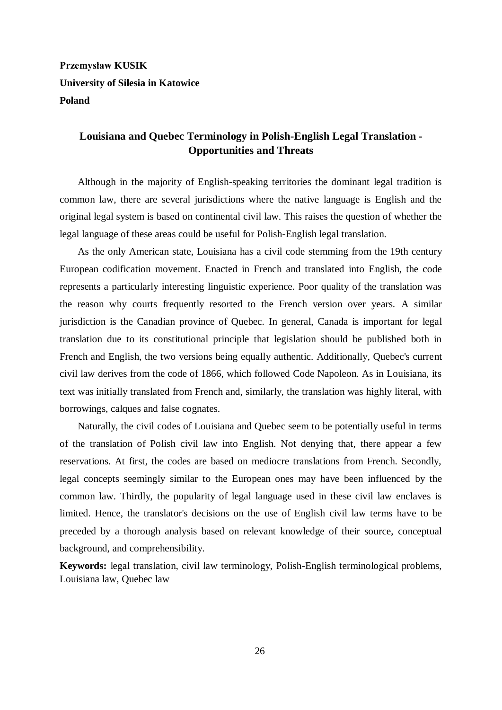# **Przemysław KUSIK University of Silesia in Katowice Poland**

# **Louisiana and Quebec Terminology in Polish-English Legal Translation - Opportunities and Threats**

Although in the majority of English-speaking territories the dominant legal tradition is common law, there are several jurisdictions where the native language is English and the original legal system is based on continental civil law. This raises the question of whether the legal language of these areas could be useful for Polish-English legal translation.

As the only American state, Louisiana has a civil code stemming from the 19th century European codification movement. Enacted in French and translated into English, the code represents a particularly interesting linguistic experience. Poor quality of the translation was the reason why courts frequently resorted to the French version over years. A similar jurisdiction is the Canadian province of Quebec. In general, Canada is important for legal translation due to its constitutional principle that legislation should be published both in French and English, the two versions being equally authentic. Additionally, Quebec's current civil law derives from the code of 1866, which followed Code Napoleon. As in Louisiana, its text was initially translated from French and, similarly, the translation was highly literal, with borrowings, calques and false cognates.

Naturally, the civil codes of Louisiana and Quebec seem to be potentially useful in terms of the translation of Polish civil law into English. Not denying that, there appear a few reservations. At first, the codes are based on mediocre translations from French. Secondly, legal concepts seemingly similar to the European ones may have been influenced by the common law. Thirdly, the popularity of legal language used in these civil law enclaves is limited. Hence, the translator's decisions on the use of English civil law terms have to be preceded by a thorough analysis based on relevant knowledge of their source, conceptual background, and comprehensibility.

**Keywords:** legal translation, civil law terminology, Polish-English terminological problems, Louisiana law, Quebec law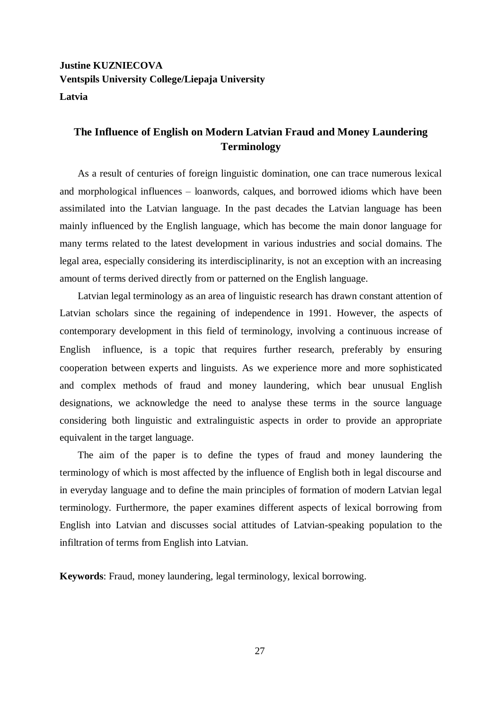# **Justine KUZNIECOVA Ventspils University College/Liepaja University Latvia**

### **The Influence of English on Modern Latvian Fraud and Money Laundering Terminology**

As a result of centuries of foreign linguistic domination, one can trace numerous lexical and morphological influences – loanwords, calques, and borrowed idioms which have been assimilated into the Latvian language. In the past decades the Latvian language has been mainly influenced by the English language, which has become the main donor language for many terms related to the latest development in various industries and social domains. The legal area, especially considering its interdisciplinarity, is not an exception with an increasing amount of terms derived directly from or patterned on the English language.

Latvian legal terminology as an area of linguistic research has drawn constant attention of Latvian scholars since the regaining of independence in 1991. However, the aspects of contemporary development in this field of terminology, involving a continuous increase of English influence, is a topic that requires further research, preferably by ensuring cooperation between experts and linguists. As we experience more and more sophisticated and complex methods of fraud and money laundering, which bear unusual English designations, we acknowledge the need to analyse these terms in the source language considering both linguistic and extralinguistic aspects in order to provide an appropriate equivalent in the target language.

The aim of the paper is to define the types of fraud and money laundering the terminology of which is most affected by the influence of English both in legal discourse and in everyday language and to define the main principles of formation of modern Latvian legal terminology. Furthermore, the paper examines different aspects of lexical borrowing from English into Latvian and discusses social attitudes of Latvian-speaking population to the infiltration of terms from English into Latvian.

**Keywords**: Fraud, money laundering, legal terminology, lexical borrowing.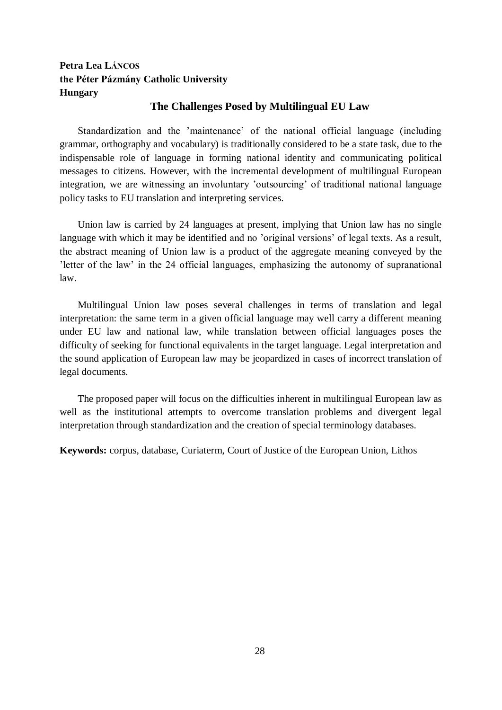# **Petra Lea LÁNCOS the Péter Pázmány Catholic University Hungary**

#### **The Challenges Posed by Multilingual EU Law**

Standardization and the 'maintenance' of the national official language (including grammar, orthography and vocabulary) is traditionally considered to be a state task, due to the indispensable role of language in forming national identity and communicating political messages to citizens. However, with the incremental development of multilingual European integration, we are witnessing an involuntary 'outsourcing' of traditional national language policy tasks to EU translation and interpreting services.

Union law is carried by 24 languages at present, implying that Union law has no single language with which it may be identified and no 'original versions' of legal texts. As a result, the abstract meaning of Union law is a product of the aggregate meaning conveyed by the 'letter of the law' in the 24 official languages, emphasizing the autonomy of supranational law.

Multilingual Union law poses several challenges in terms of translation and legal interpretation: the same term in a given official language may well carry a different meaning under EU law and national law, while translation between official languages poses the difficulty of seeking for functional equivalents in the target language. Legal interpretation and the sound application of European law may be jeopardized in cases of incorrect translation of legal documents.

The proposed paper will focus on the difficulties inherent in multilingual European law as well as the institutional attempts to overcome translation problems and divergent legal interpretation through standardization and the creation of special terminology databases.

**Keywords:** corpus, database, Curiaterm, Court of Justice of the European Union, Lithos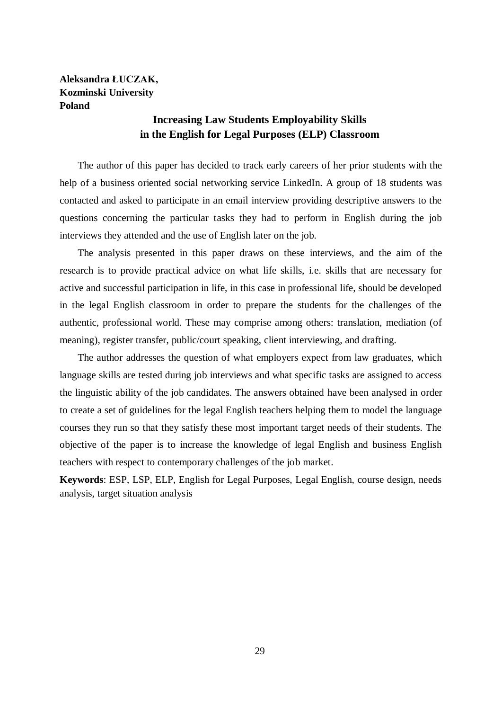# **Aleksandra ŁUCZAK, Kozminski University Poland**

# **Increasing Law Students Employability Skills in the English for Legal Purposes (ELP) Classroom**

The author of this paper has decided to track early careers of her prior students with the help of a business oriented social networking service LinkedIn. A group of 18 students was contacted and asked to participate in an email interview providing descriptive answers to the questions concerning the particular tasks they had to perform in English during the job interviews they attended and the use of English later on the job.

The analysis presented in this paper draws on these interviews, and the aim of the research is to provide practical advice on what life skills, i.e. skills that are necessary for active and successful participation in life, in this case in professional life, should be developed in the legal English classroom in order to prepare the students for the challenges of the authentic, professional world. These may comprise among others: translation, mediation (of meaning), register transfer, public/court speaking, client interviewing, and drafting.

The author addresses the question of what employers expect from law graduates, which language skills are tested during job interviews and what specific tasks are assigned to access the linguistic ability of the job candidates. The answers obtained have been analysed in order to create a set of guidelines for the legal English teachers helping them to model the language courses they run so that they satisfy these most important target needs of their students. The objective of the paper is to increase the knowledge of legal English and business English teachers with respect to contemporary challenges of the job market.

**Keywords**: ESP, LSP, ELP, English for Legal Purposes, Legal English, course design, needs analysis, target situation analysis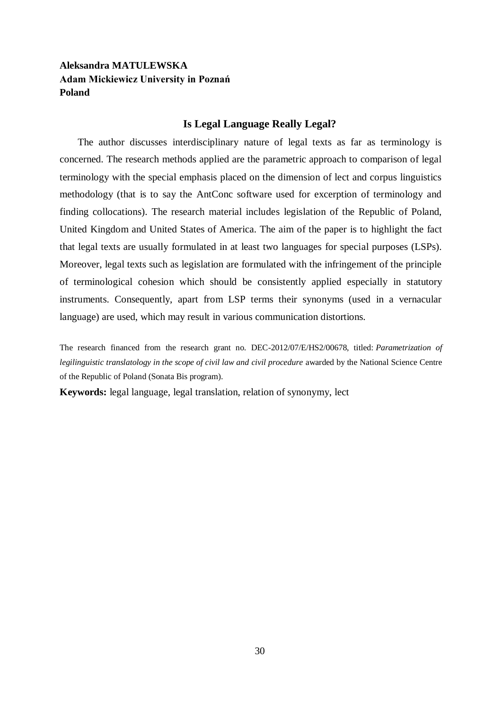# **Aleksandra MATULEWSKA Adam Mickiewicz University in Poznań Poland**

#### **Is Legal Language Really Legal?**

The author discusses interdisciplinary nature of legal texts as far as terminology is concerned. The research methods applied are the parametric approach to comparison of legal terminology with the special emphasis placed on the dimension of lect and corpus linguistics methodology (that is to say the AntConc software used for excerption of terminology and finding collocations). The research material includes legislation of the Republic of Poland, United Kingdom and United States of America. The aim of the paper is to highlight the fact that legal texts are usually formulated in at least two languages for special purposes (LSPs). Moreover, legal texts such as legislation are formulated with the infringement of the principle of terminological cohesion which should be consistently applied especially in statutory instruments. Consequently, apart from LSP terms their synonyms (used in a vernacular language) are used, which may result in various communication distortions.

The research financed from the research grant no. DEC-2012/07/E/HS2/00678, titled: *Parametrization of legilinguistic translatology in the scope of civil law and civil procedure* awarded by the National Science Centre of the Republic of Poland (Sonata Bis program).

**Keywords:** legal language, legal translation, relation of synonymy, lect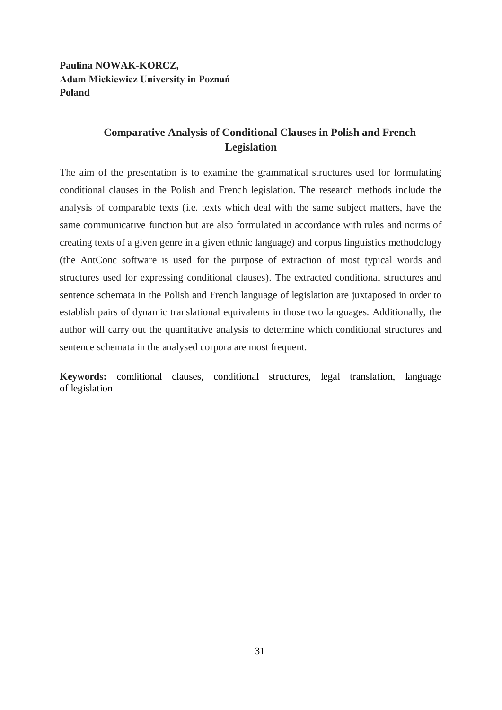**Paulina NOWAK-KORCZ, Adam Mickiewicz University in Poznań Poland**

# **Comparative Analysis of Conditional Clauses in Polish and French Legislation**

The aim of the presentation is to examine the grammatical structures used for formulating conditional clauses in the Polish and French legislation. The research methods include the analysis of comparable texts (i.e. texts which deal with the same subject matters, have the same communicative function but are also formulated in accordance with rules and norms of creating texts of a given genre in a given ethnic language) and corpus linguistics methodology (the AntConc software is used for the purpose of extraction of most typical words and structures used for expressing conditional clauses). The extracted conditional structures and sentence schemata in the Polish and French language of legislation are juxtaposed in order to establish pairs of dynamic translational equivalents in those two languages. Additionally, the author will carry out the quantitative analysis to determine which conditional structures and sentence schemata in the analysed corpora are most frequent.

**Keywords:** conditional clauses, conditional structures, legal translation, language of legislation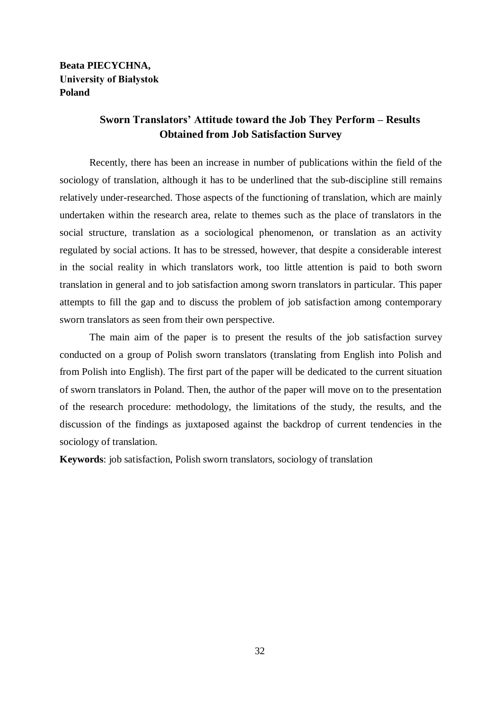### **Beata PIECYCHNA, University of Białystok Poland**

# **Sworn Translators' Attitude toward the Job They Perform – Results Obtained from Job Satisfaction Survey**

Recently, there has been an increase in number of publications within the field of the sociology of translation, although it has to be underlined that the sub-discipline still remains relatively under-researched. Those aspects of the functioning of translation, which are mainly undertaken within the research area, relate to themes such as the place of translators in the social structure, translation as a sociological phenomenon, or translation as an activity regulated by social actions. It has to be stressed, however, that despite a considerable interest in the social reality in which translators work, too little attention is paid to both sworn translation in general and to job satisfaction among sworn translators in particular. This paper attempts to fill the gap and to discuss the problem of job satisfaction among contemporary sworn translators as seen from their own perspective.

The main aim of the paper is to present the results of the job satisfaction survey conducted on a group of Polish sworn translators (translating from English into Polish and from Polish into English). The first part of the paper will be dedicated to the current situation of sworn translators in Poland. Then, the author of the paper will move on to the presentation of the research procedure: methodology, the limitations of the study, the results, and the discussion of the findings as juxtaposed against the backdrop of current tendencies in the sociology of translation.

**Keywords**: job satisfaction, Polish sworn translators, sociology of translation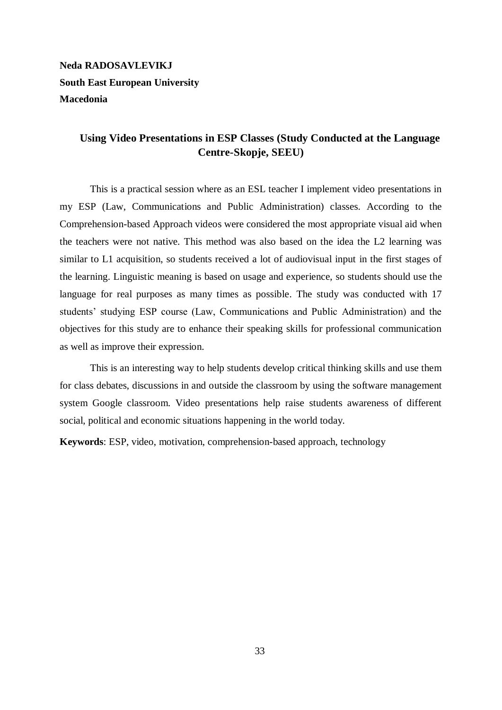# **Neda RADOSAVLEVIKJ South East European University Macedonia**

# **Using Video Presentations in ESP Classes (Study Conducted at the Language Centre-Skopje, SEEU)**

This is a practical session where as an ESL teacher I implement video presentations in my ESP (Law, Communications and Public Administration) classes. According to the Comprehension-based Approach videos were considered the most appropriate visual aid when the teachers were not native. This method was also based on the idea the L2 learning was similar to L1 acquisition, so students received a lot of audiovisual input in the first stages of the learning. Linguistic meaning is based on usage and experience, so students should use the language for real purposes as many times as possible. The study was conducted with 17 students' studying ESP course (Law, Communications and Public Administration) and the objectives for this study are to enhance their speaking skills for professional communication as well as improve their expression.

This is an interesting way to help students develop critical thinking skills and use them for class debates, discussions in and outside the classroom by using the software management system Google classroom. Video presentations help raise students awareness of different social, political and economic situations happening in the world today.

**Keywords**: ESP, video, motivation, comprehension-based approach, technology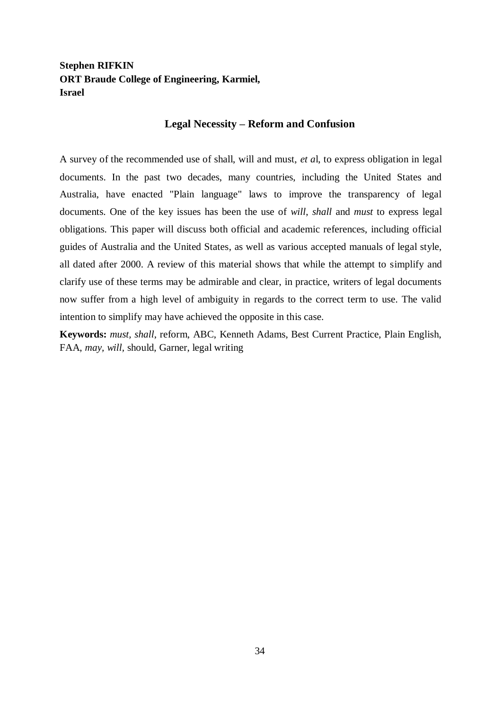# **Stephen RIFKIN ORT Braude College of Engineering, Karmiel, Israel**

#### **Legal Necessity – Reform and Confusion**

A survey of the recommended use of shall, will and must, *et a*l, to express obligation in legal documents. In the past two decades, many countries, including the United States and Australia, have enacted "Plain language" laws to improve the transparency of legal documents. One of the key issues has been the use of *will*, *shall* and *must* to express legal obligations. This paper will discuss both official and academic references, including official guides of Australia and the United States, as well as various accepted manuals of legal style, all dated after 2000. A review of this material shows that while the attempt to simplify and clarify use of these terms may be admirable and clear, in practice, writers of legal documents now suffer from a high level of ambiguity in regards to the correct term to use. The valid intention to simplify may have achieved the opposite in this case.

**Keywords:** *must, shall*, reform, ABC, Kenneth Adams, Best Current Practice, Plain English, FAA, *may, will,* should, Garner, legal writing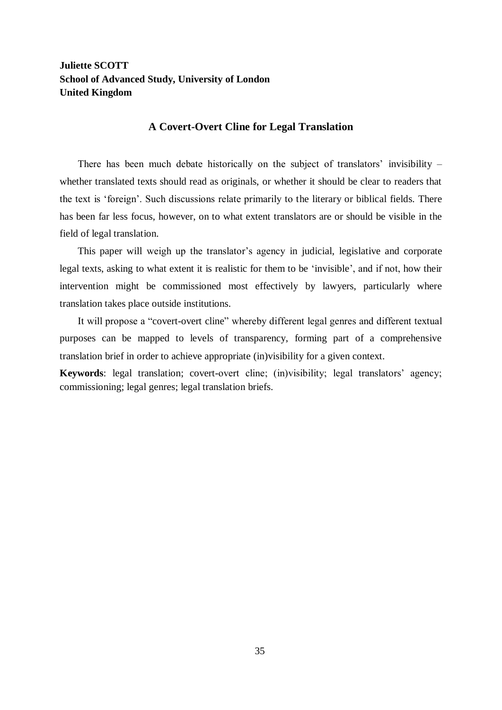### **Juliette SCOTT School of Advanced Study, University of London United Kingdom**

#### **A Covert-Overt Cline for Legal Translation**

There has been much debate historically on the subject of translators' invisibility – whether translated texts should read as originals, or whether it should be clear to readers that the text is 'foreign'. Such discussions relate primarily to the literary or biblical fields. There has been far less focus, however, on to what extent translators are or should be visible in the field of legal translation.

This paper will weigh up the translator's agency in judicial, legislative and corporate legal texts, asking to what extent it is realistic for them to be 'invisible', and if not, how their intervention might be commissioned most effectively by lawyers, particularly where translation takes place outside institutions.

It will propose a "covert-overt cline" whereby different legal genres and different textual purposes can be mapped to levels of transparency, forming part of a comprehensive translation brief in order to achieve appropriate (in)visibility for a given context.

**Keywords**: legal translation; covert-overt cline; (in)visibility; legal translators' agency; commissioning; legal genres; legal translation briefs.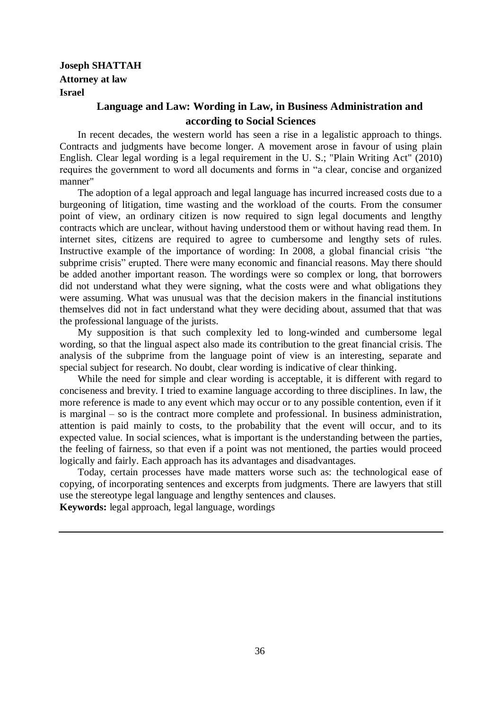# **Joseph SHATTAH Attorney at law Israel**

# **Language and Law: Wording in Law, in Business Administration and according to Social Sciences**

In recent decades, the western world has seen a rise in a legalistic approach to things. Contracts and judgments have become longer. A movement arose in favour of using plain English. Clear legal wording is a legal requirement in the U. S.; "Plain Writing Act" (2010) requires the government to word all documents and forms in "a clear, concise and organized manner"

The adoption of a legal approach and legal language has incurred increased costs due to a burgeoning of litigation, time wasting and the workload of the courts. From the consumer point of view, an ordinary citizen is now required to sign legal documents and lengthy contracts which are unclear, without having understood them or without having read them. In internet sites, citizens are required to agree to cumbersome and lengthy sets of rules. Instructive example of the importance of wording: In 2008, a global financial crisis "the subprime crisis" erupted. There were many economic and financial reasons. May there should be added another important reason. The wordings were so complex or long, that borrowers did not understand what they were signing, what the costs were and what obligations they were assuming. What was unusual was that the decision makers in the financial institutions themselves did not in fact understand what they were deciding about, assumed that that was the professional language of the jurists.

My supposition is that such complexity led to long-winded and cumbersome legal wording, so that the lingual aspect also made its contribution to the great financial crisis. The analysis of the subprime from the language point of view is an interesting, separate and special subject for research. No doubt, clear wording is indicative of clear thinking.

While the need for simple and clear wording is acceptable, it is different with regard to conciseness and brevity. I tried to examine language according to three disciplines. In law, the more reference is made to any event which may occur or to any possible contention, even if it is marginal – so is the contract more complete and professional. In business administration, attention is paid mainly to costs, to the probability that the event will occur, and to its expected value. In social sciences, what is important is the understanding between the parties, the feeling of fairness, so that even if a point was not mentioned, the parties would proceed logically and fairly. Each approach has its advantages and disadvantages.

Today, certain processes have made matters worse such as: the technological ease of copying, of incorporating sentences and excerpts from judgments. There are lawyers that still use the stereotype legal language and lengthy sentences and clauses.

**Keywords:** legal approach, legal language, wordings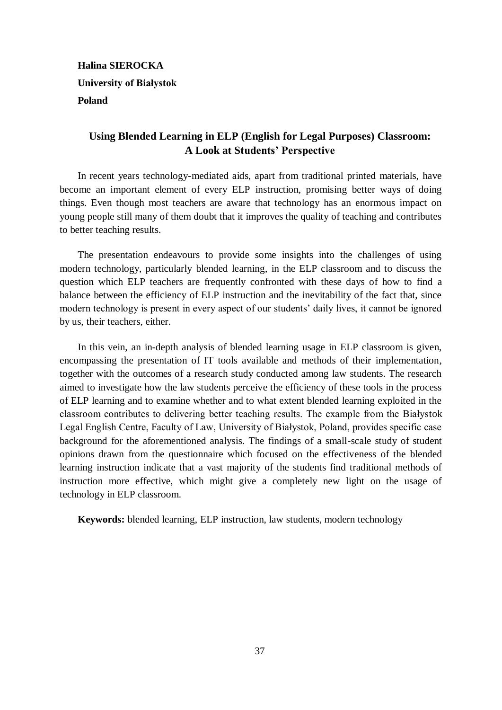# **Halina SIEROCKA University of Białystok Poland**

# **Using Blended Learning in ELP (English for Legal Purposes) Classroom: A Look at Students' Perspective**

In recent years technology-mediated aids, apart from traditional printed materials, have become an important element of every ELP instruction, promising better ways of doing things. Even though most teachers are aware that technology has an enormous impact on young people still many of them doubt that it improves the quality of teaching and contributes to better teaching results.

The presentation endeavours to provide some insights into the challenges of using modern technology, particularly blended learning, in the ELP classroom and to discuss the question which ELP teachers are frequently confronted with these days of how to find a balance between the efficiency of ELP instruction and the inevitability of the fact that, since modern technology is present in every aspect of our students' daily lives, it cannot be ignored by us, their teachers, either.

In this vein, an in-depth analysis of blended learning usage in ELP classroom is given, encompassing the presentation of IT tools available and methods of their implementation, together with the outcomes of a research study conducted among law students. The research aimed to investigate how the law students perceive the efficiency of these tools in the process of ELP learning and to examine whether and to what extent blended learning exploited in the classroom contributes to delivering better teaching results. The example from the Białystok Legal English Centre, Faculty of Law, University of Białystok, Poland, provides specific case background for the aforementioned analysis. The findings of a small-scale study of student opinions drawn from the questionnaire which focused on the effectiveness of the blended learning instruction indicate that a vast majority of the students find traditional methods of instruction more effective, which might give a completely new light on the usage of technology in ELP classroom.

**Keywords:** blended learning, ELP instruction, law students, modern technology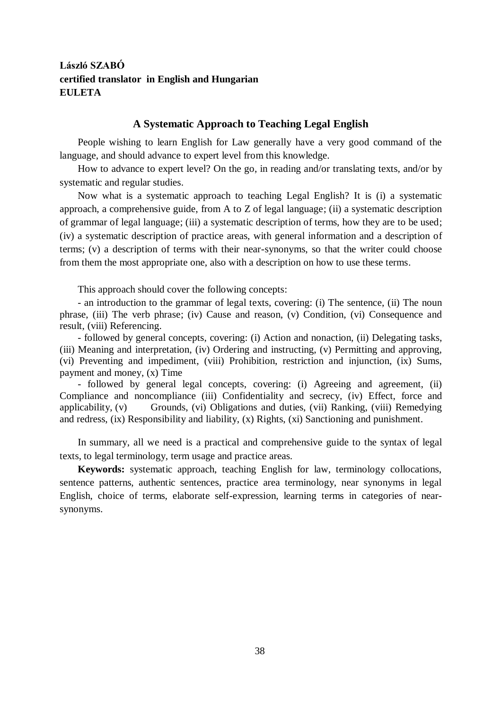# **László SZABÓ certified translator in English and Hungarian EULETA**

#### **A Systematic Approach to Teaching Legal English**

People wishing to learn English for Law generally have a very good command of the language, and should advance to expert level from this knowledge.

How to advance to expert level? On the go, in reading and/or translating texts, and/or by systematic and regular studies.

Now what is a systematic approach to teaching Legal English? It is (i) a systematic approach, a comprehensive guide, from A to Z of legal language; (ii) a systematic description of grammar of legal language; (iii) a systematic description of terms, how they are to be used; (iv) a systematic description of practice areas, with general information and a description of terms; (v) a description of terms with their near-synonyms, so that the writer could choose from them the most appropriate one, also with a description on how to use these terms.

This approach should cover the following concepts:

- an introduction to the grammar of legal texts, covering: (i) The sentence, (ii) The noun phrase, (iii) The verb phrase; (iv) Cause and reason, (v) Condition, (vi) Consequence and result, (viii) Referencing.

- followed by general concepts, covering: (i) Action and nonaction, (ii) Delegating tasks, (iii) Meaning and interpretation, (iv) Ordering and instructing, (v) Permitting and approving, (vi) Preventing and impediment, (viii) Prohibition, restriction and injunction, (ix) Sums, payment and money, (x) Time

- followed by general legal concepts, covering: (i) Agreeing and agreement, (ii) Compliance and noncompliance (iii) Confidentiality and secrecy, (iv) Effect, force and applicability, (v) Grounds, (vi) Obligations and duties, (vii) Ranking, (viii) Remedying and redress, (ix) Responsibility and liability, (x) Rights, (xi) Sanctioning and punishment.

In summary, all we need is a practical and comprehensive guide to the syntax of legal texts, to legal terminology, term usage and practice areas.

**Keywords:** systematic approach, teaching English for law, terminology collocations, sentence patterns, authentic sentences, practice area terminology, near synonyms in legal English, choice of terms, elaborate self-expression, learning terms in categories of nearsynonyms.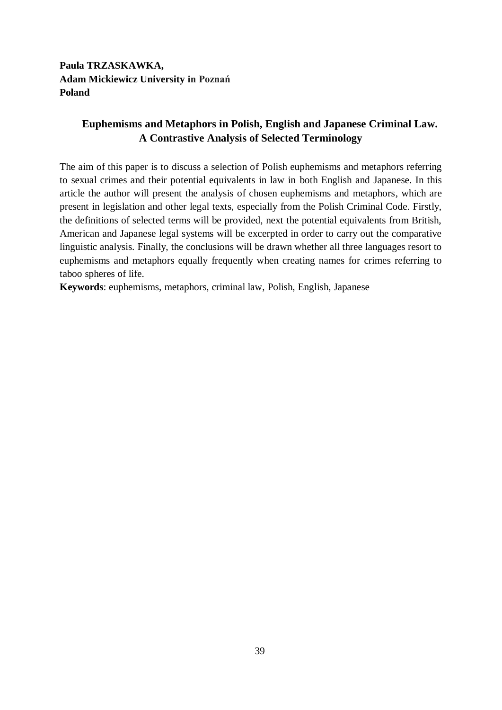**Paula TRZASKAWKA, Adam Mickiewicz University in Poznań Poland**

# **Euphemisms and Metaphors in Polish, English and Japanese Criminal Law. A Contrastive Analysis of Selected Terminology**

The aim of this paper is to discuss a selection of Polish euphemisms and metaphors referring to sexual crimes and their potential equivalents in law in both English and Japanese. In this article the author will present the analysis of chosen euphemisms and metaphors, which are present in legislation and other legal texts, especially from the Polish Criminal Code. Firstly, the definitions of selected terms will be provided, next the potential equivalents from British, American and Japanese legal systems will be excerpted in order to carry out the comparative linguistic analysis. Finally, the conclusions will be drawn whether all three languages resort to euphemisms and metaphors equally frequently when creating names for crimes referring to taboo spheres of life.

**Keywords**: euphemisms, metaphors, criminal law, Polish, English, Japanese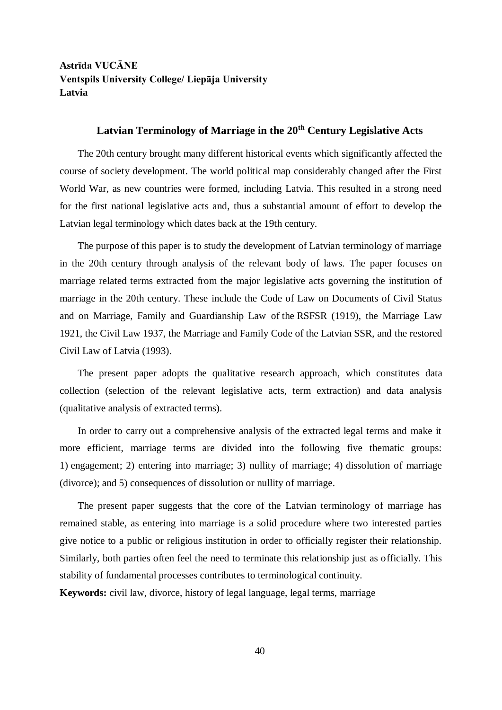# **Astrīda VUCĀNE Ventspils University College/ Liepāja University Latvia**

# **Latvian Terminology of Marriage in the 20th Century Legislative Acts**

The 20th century brought many different historical events which significantly affected the course of society development. The world political map considerably changed after the First World War, as new countries were formed, including Latvia. This resulted in a strong need for the first national legislative acts and, thus a substantial amount of effort to develop the Latvian legal terminology which dates back at the 19th century.

The purpose of this paper is to study the development of Latvian terminology of marriage in the 20th century through analysis of the relevant body of laws. The paper focuses on marriage related terms extracted from the major legislative acts governing the institution of marriage in the 20th century. These include the Code of Law on Documents of Civil Status and on Marriage, Family and Guardianship Law of the RSFSR (1919), the Marriage Law 1921, the Civil Law 1937, the Marriage and Family Code of the Latvian SSR, and the restored Civil Law of Latvia (1993).

The present paper adopts the qualitative research approach, which constitutes data collection (selection of the relevant legislative acts, term extraction) and data analysis (qualitative analysis of extracted terms).

In order to carry out a comprehensive analysis of the extracted legal terms and make it more efficient, marriage terms are divided into the following five thematic groups: 1) engagement; 2) entering into marriage; 3) nullity of marriage; 4) dissolution of marriage (divorce); and 5) consequences of dissolution or nullity of marriage.

The present paper suggests that the core of the Latvian terminology of marriage has remained stable, as entering into marriage is a solid procedure where two interested parties give notice to a public or religious institution in order to officially register their relationship. Similarly, both parties often feel the need to terminate this relationship just as officially. This stability of fundamental processes contributes to terminological continuity.

**Keywords:** civil law, divorce, history of legal language, legal terms, marriage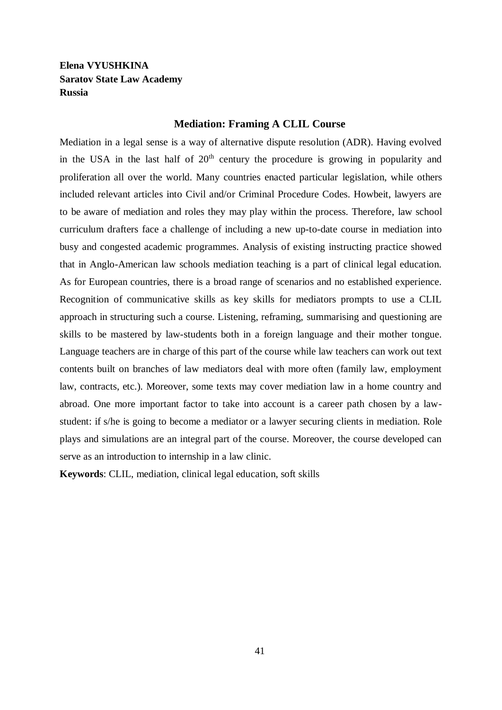### **Elena VYUSHKINA Saratov State Law Academy Russia**

#### **Mediation: Framing A CLIL Course**

Mediation in a legal sense is a way of alternative dispute resolution (ADR). Having evolved in the USA in the last half of  $20<sup>th</sup>$  century the procedure is growing in popularity and proliferation all over the world. Many countries enacted particular legislation, while others included relevant articles into Civil and/or Criminal Procedure Codes. Howbeit, lawyers are to be aware of mediation and roles they may play within the process. Therefore, law school curriculum drafters face a challenge of including a new up-to-date course in mediation into busy and congested academic programmes. Analysis of existing instructing practice showed that in Anglo-American law schools mediation teaching is a part of clinical legal education. As for European countries, there is a broad range of scenarios and no established experience. Recognition of communicative skills as key skills for mediators prompts to use a CLIL approach in structuring such a course. Listening, reframing, summarising and questioning are skills to be mastered by law-students both in a foreign language and their mother tongue. Language teachers are in charge of this part of the course while law teachers can work out text contents built on branches of law mediators deal with more often (family law, employment law, contracts, etc.). Moreover, some texts may cover mediation law in a home country and abroad. One more important factor to take into account is a career path chosen by a lawstudent: if s/he is going to become a mediator or a lawyer securing clients in mediation. Role plays and simulations are an integral part of the course. Moreover, the course developed can serve as an introduction to internship in a law clinic.

**Keywords**: CLIL, mediation, clinical legal education, soft skills